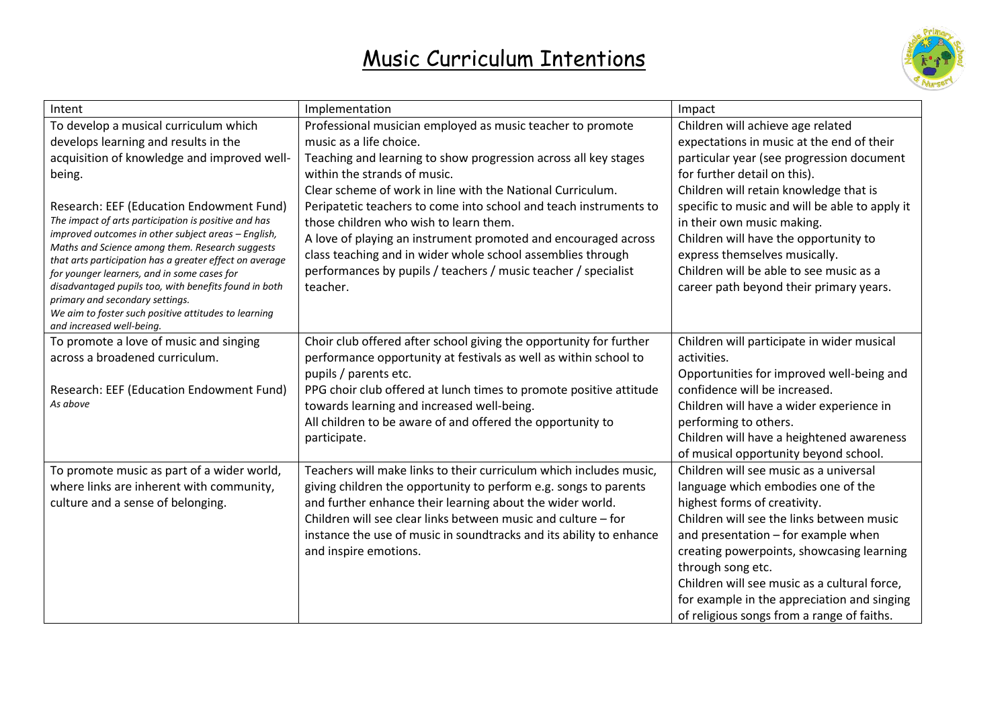## Music Curriculum Intentions



| Intent                                                                                                 | Implementation                                                      | Impact                                                         |
|--------------------------------------------------------------------------------------------------------|---------------------------------------------------------------------|----------------------------------------------------------------|
| To develop a musical curriculum which                                                                  | Professional musician employed as music teacher to promote          | Children will achieve age related                              |
| develops learning and results in the                                                                   | music as a life choice.                                             | expectations in music at the end of their                      |
| acquisition of knowledge and improved well-                                                            | Teaching and learning to show progression across all key stages     | particular year (see progression document                      |
| being.                                                                                                 | within the strands of music.                                        | for further detail on this).                                   |
|                                                                                                        | Clear scheme of work in line with the National Curriculum.          | Children will retain knowledge that is                         |
| Research: EEF (Education Endowment Fund)                                                               | Peripatetic teachers to come into school and teach instruments to   | specific to music and will be able to apply it                 |
| The impact of arts participation is positive and has                                                   | those children who wish to learn them.                              | in their own music making.                                     |
| improved outcomes in other subject areas - English,<br>Maths and Science among them. Research suggests | A love of playing an instrument promoted and encouraged across      | Children will have the opportunity to                          |
| that arts participation has a greater effect on average                                                | class teaching and in wider whole school assemblies through         | express themselves musically.                                  |
| for younger learners, and in some cases for                                                            | performances by pupils / teachers / music teacher / specialist      | Children will be able to see music as a                        |
| disadvantaged pupils too, with benefits found in both<br>primary and secondary settings.               | teacher.                                                            | career path beyond their primary years.                        |
| We aim to foster such positive attitudes to learning                                                   |                                                                     |                                                                |
| and increased well-being.                                                                              |                                                                     |                                                                |
| To promote a love of music and singing                                                                 | Choir club offered after school giving the opportunity for further  | Children will participate in wider musical                     |
| across a broadened curriculum.                                                                         | performance opportunity at festivals as well as within school to    | activities.                                                    |
|                                                                                                        | pupils / parents etc.                                               | Opportunities for improved well-being and                      |
| Research: EEF (Education Endowment Fund)                                                               | PPG choir club offered at lunch times to promote positive attitude  | confidence will be increased.                                  |
| As above                                                                                               | towards learning and increased well-being.                          | Children will have a wider experience in                       |
|                                                                                                        | All children to be aware of and offered the opportunity to          | performing to others.                                          |
|                                                                                                        | participate.                                                        | Children will have a heightened awareness                      |
|                                                                                                        |                                                                     | of musical opportunity beyond school.                          |
| To promote music as part of a wider world,                                                             | Teachers will make links to their curriculum which includes music,  | Children will see music as a universal                         |
| where links are inherent with community,                                                               | giving children the opportunity to perform e.g. songs to parents    | language which embodies one of the                             |
| culture and a sense of belonging.                                                                      | and further enhance their learning about the wider world.           | highest forms of creativity.                                   |
|                                                                                                        | Children will see clear links between music and culture – for       | Children will see the links between music                      |
|                                                                                                        | instance the use of music in soundtracks and its ability to enhance | and presentation - for example when                            |
|                                                                                                        | and inspire emotions.                                               | creating powerpoints, showcasing learning<br>through song etc. |
|                                                                                                        |                                                                     | Children will see music as a cultural force,                   |
|                                                                                                        |                                                                     | for example in the appreciation and singing                    |
|                                                                                                        |                                                                     | of religious songs from a range of faiths.                     |